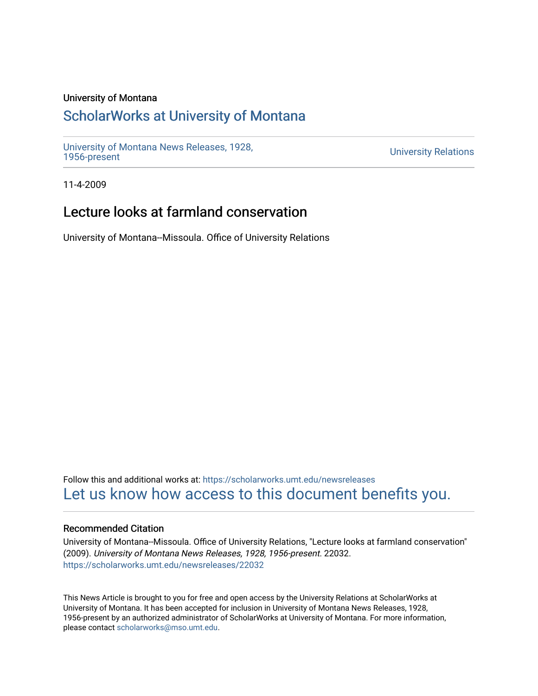### University of Montana

## [ScholarWorks at University of Montana](https://scholarworks.umt.edu/)

[University of Montana News Releases, 1928,](https://scholarworks.umt.edu/newsreleases) 

**University Relations** 

11-4-2009

# Lecture looks at farmland conservation

University of Montana--Missoula. Office of University Relations

Follow this and additional works at: [https://scholarworks.umt.edu/newsreleases](https://scholarworks.umt.edu/newsreleases?utm_source=scholarworks.umt.edu%2Fnewsreleases%2F22032&utm_medium=PDF&utm_campaign=PDFCoverPages) [Let us know how access to this document benefits you.](https://goo.gl/forms/s2rGfXOLzz71qgsB2) 

#### Recommended Citation

University of Montana--Missoula. Office of University Relations, "Lecture looks at farmland conservation" (2009). University of Montana News Releases, 1928, 1956-present. 22032. [https://scholarworks.umt.edu/newsreleases/22032](https://scholarworks.umt.edu/newsreleases/22032?utm_source=scholarworks.umt.edu%2Fnewsreleases%2F22032&utm_medium=PDF&utm_campaign=PDFCoverPages) 

This News Article is brought to you for free and open access by the University Relations at ScholarWorks at University of Montana. It has been accepted for inclusion in University of Montana News Releases, 1928, 1956-present by an authorized administrator of ScholarWorks at University of Montana. For more information, please contact [scholarworks@mso.umt.edu.](mailto:scholarworks@mso.umt.edu)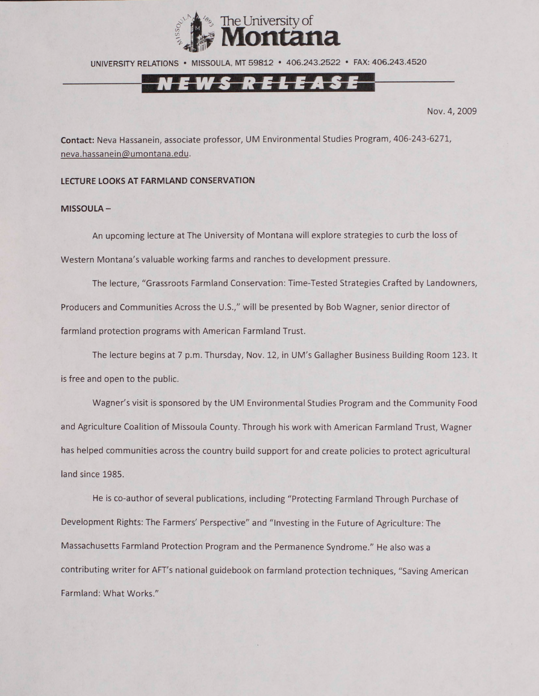

UNIVERSITY RELATIONS • MISSOULA. MT 59812 • 406.243.2522 • FAX: 406.243.4520

Nov. 4, 2009

**Contact:** Neva Hassanein, associate professor, UM Environmental Studies Program, 406-243-6271, [neva.hassanein@umontana.edu.](mailto:neva.hassanein@umontana.edu)

#### **LECTURE LOOKS AT FARMLAND CONSERVATION**

#### **MISSOULA-**

An upcoming lecture at The University of Montana will explore strategies to curb the loss of Western Montana's valuable working farms and ranches to development pressure.

The lecture, "Grassroots Farmland Conservation: Time-Tested Strategies Crafted by Landowners, Producers and Communities Across the U.S.," will be presented by Bob Wagner, senior director of farmland protection programs with American Farmland Trust.

The lecture begins at 7 p.m. Thursday, Nov. 12, in UM's Gallagher Business Building Room 123. It is free and open to the public.

Wagner's visit is sponsored by the UM Environmental Studies Program and the Community Food and Agriculture Coalition of Missoula County. Through his work with American Farmland Trust, Wagner has helped communities across the country build support for and create policies to protect agricultural land since 1985.

He is co-author of several publications, including "Protecting Farmland Through Purchase of Development Rights: The Farmers' Perspective" and "Investing in the Future of Agriculture: The Massachusetts Farmland Protection Program and the Permanence Syndrome." He also was a contributing writer for AFT's national guidebook on farmland protection techniques, "Saving American Farmland: What Works.